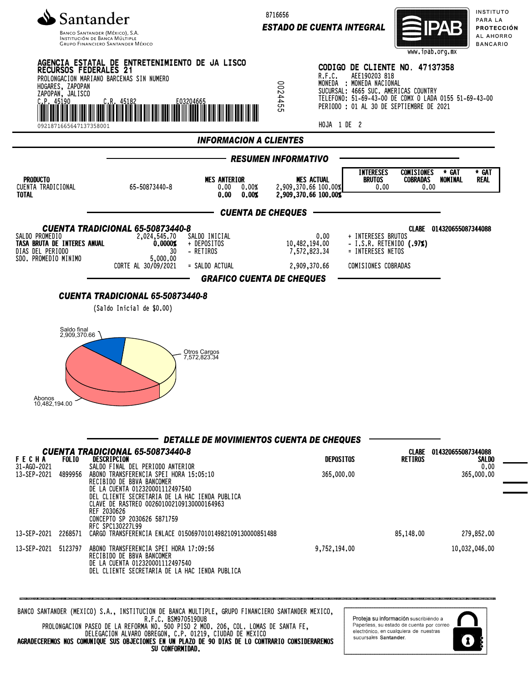

INSTITUCIÓN DE BANCA MÚLTIP **GRUPO FINANCIERO SANTANDER MÉXICO**  8716656

*ESTADO DE CUENTA INTEGRAL*



INSTITUTO PARA LA PROTECCIÓN AL AHORRO **BANCARIO** 



PROLONGACION PASEO DE LA REFORMA NO. 500 PISO 2 MOD. 206, COL. LOMAS DE SANTA FE, DELEGACION ALVARO OBREGON, C.P. 01219, CIUDAD DE MEXICO AGRADECEREMOS NOS COMUNIQUE SUS OBJECIONES EN UN PLAZO DE 90 DIAS DE LO CONTRARIO CONSIDERAREMOS SU CONFORMIDAD.

Paperless, su estado de cuenta por correo electrónico, en cualquiera de nuestras sucursales Santander.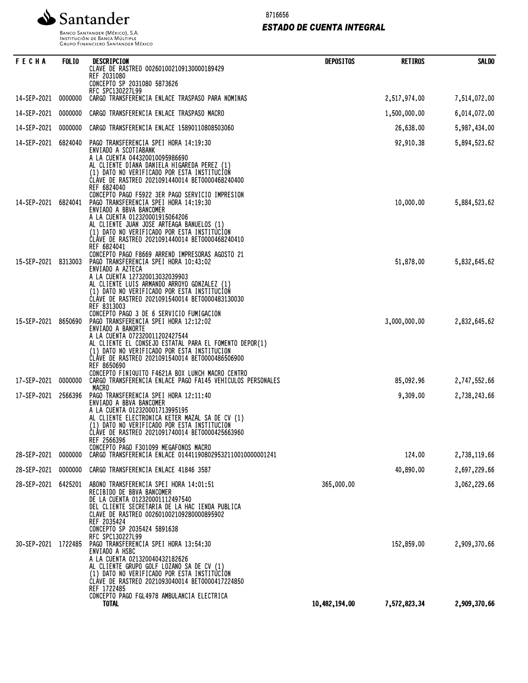8716656

*ESTADO DE CUENTA INTEGRAL*



Banco Santander (México), S.A.<br>Institución de Banca Múltiple<br>Grupo Financiero Santander México

| FECHA               | <b>FOLIO</b> | DESCRIPCION<br>CLAVE DE RASTREO 002601002109130000189429<br>REF 2031080<br>CONCEPTO SP 2031080 5873626                                                                                                                                                                                                                                                                 | <b>DEPOSITOS</b> | <b>RETIROS</b> | <b>SALDO</b> |
|---------------------|--------------|------------------------------------------------------------------------------------------------------------------------------------------------------------------------------------------------------------------------------------------------------------------------------------------------------------------------------------------------------------------------|------------------|----------------|--------------|
| 14-SEP-2021         | 0000000      | RFC SPC130227L99<br>CARGO TRANSFERENCIA ENLACE TRASPASO PARA NOMINAS                                                                                                                                                                                                                                                                                                   |                  | 2,517,974.00   | 7,514,072.00 |
| 14-SEP-2021         | 0000000      | CARGO TRANSFERENCIA ENLACE TRASPASO MACRO                                                                                                                                                                                                                                                                                                                              |                  | 1,500,000.00   | 6,014,072.00 |
| 14-SEP-2021         | 0000000      | CARGO TRANSFERENCIA ENLACE 15890110808503060                                                                                                                                                                                                                                                                                                                           |                  | 26,638.00      | 5,987,434.00 |
| 14-SEP-2021         | 6824040      | PAGO TRANSFERENCIA SPEI HORA 14:19:30<br>ENVIADO A SCOTIABANK<br>A LA CUENTA 044320010095986690<br>AL CLIENTE DIANA DANIELA HIGAREDA PEREZ (1)<br>(1) DATO NO VERIFICADO POR ESTA INSTITUCION<br>CLAVE DE RASTREO 2021091440014 BET0000468240400<br>REF 6824040                                                                                                        |                  | 92,910.38      | 5,894,523.62 |
| 14-SEP-2021         | 6824041      | CONCEPTO PAGO F5922 3ER PAGO SERVICIO IMPRESION<br>PAGO TRANSFERENCIA SPEI HORA 14:19:30<br>ENVIADO A BBVA BANCOMER<br>A LA CUENTA 012320001915064206<br>AL CLIENTE JUAN JOSE ARTEAGA BANUELOS (1)<br>(1) DATO NO VERIFICADO POR ESTA INSTITUCION<br>ČLÁVE DE RASTREO 2021091440014 BET0000468240410<br>REF 6824041<br>CONCEPTO PAGO F8669 ARREND IMPRESORAS AGOSTO 21 |                  | 10,000.00      | 5,884,523.62 |
| 15-SEP-2021         | 8313003      | PAGO TRANSFERENCIA SPEI HORA 10:43:02<br>ENVIADO A AZTECA<br>A LA CUENTA 127320013032039903<br>AL CLIENTE LUIS ARMANDO ARROYO GONZALEZ (1)<br>(1) DATO NO VERIFICADO POR ESTA INSTITUCION<br>CLAVE DE RASTREO 2021091540014 BET0000483130030<br>REF 8313003<br>CONCEPTO PAGO 3 DE 6 SERVICIO FUMIGACION                                                                |                  | 51,878.00      | 5,832,645.62 |
| 15-SEP-2021         | 8650690      | PAGO TRANSFERENCIA SPEI HORA 12:12:02<br>ENVIADO A BANORTE<br>A LA CUENTA 072320011202427544<br>AL CLIENTE EL CONSEJO ESTATAL PARA EL FOMENTO DEPOR(1)<br>(1) DATO NO VERIFICADO POR ESTA INSTITUCION<br>CLÁVE DE RASTREO 2021091540014 BET0000486506900<br>REF 8650690<br>CONCEPTO FINIQUITO F4621A BOX LUNCH MACRO CENTRO                                            |                  | 3,000,000.00   | 2,832,645.62 |
| 17-SEP-2021         | 0000000      | CARGO TRANSFERENCIA ENLACE PAGO FA145 VEHICULOS PERSONALES<br>MACRO                                                                                                                                                                                                                                                                                                    |                  | 85,092.96      | 2,747,552.66 |
| 17-SEP-2021         | 2566396      | PAGO TRANSFERENCIA SPEI HORA 12:11:40<br>ENVIADO A BBVA BANCOMER<br>A LA CUENTA 012320001713995195<br>AL CLIENTE ELECTRONICA KETER MAZAL SA DE CV (1)<br>(1) DATO NO VERIFICADO POR ESTA INSTITUCION<br>ČLÁVE DE RASTREO 2021091740014 BET0000425663960<br>REF 2566396<br>CONCEPTO PAGO F301099 MEGAFONOS MACRO                                                        |                  | 9,309.00       | 2,738,243.66 |
| 28-SEP-2021         | 0000000      | CARGO TRANSFERENCIA ENLACE 014411908029532110010000001241                                                                                                                                                                                                                                                                                                              |                  | 124.00         | 2,738,119.66 |
| 28-SEP-2021         | 0000000      | CARGO TRANSFERENCIA ENLACE 41846 3587                                                                                                                                                                                                                                                                                                                                  |                  | 40,890.00      | 2,697,229.66 |
| 28-SEP-2021         | 6425201      | ABONO TRANSFERENCIA SPEI HORA 14:01:51<br>RECIBIDO DE BBVA BANCOMER<br>DE LA CUENTA 012320001112497540<br>DEL CLIENTE SECRETARIA DE LA HAC IENDA PUBLICA<br>CLAVE DE RASTREO 002601002109280000895902<br>REF 2035424<br>CONCEPTO SP 2035424 5891638<br>RFC SPC130227L99                                                                                                | 365,000.00       |                | 3,062,229.66 |
| 30-SEP-2021 1722485 |              | PAGO TRANSFERENCIA SPEI HORA 13:54:30<br>ENVIADO A HSBC<br>A LA CUENTA 021320040432182626<br>AL CLIENTE GRUPO GOLF LOZANO SA DE CV (1)<br>(1) DATO NO VERIFICADO POR ESTA INSTITUCION<br>ČLÁVE DE RASTREO 2021093040014 BET0000417224850<br>REF 1722485                                                                                                                |                  | 152,859.00     | 2,909,370.66 |
|                     |              | CONCEPTO PAGO FGL4978 AMBULANCIA ELECTRICA<br><b>TOTAL</b>                                                                                                                                                                                                                                                                                                             | 10,482,194.00    | 7,572,823.34   | 2,909,370.66 |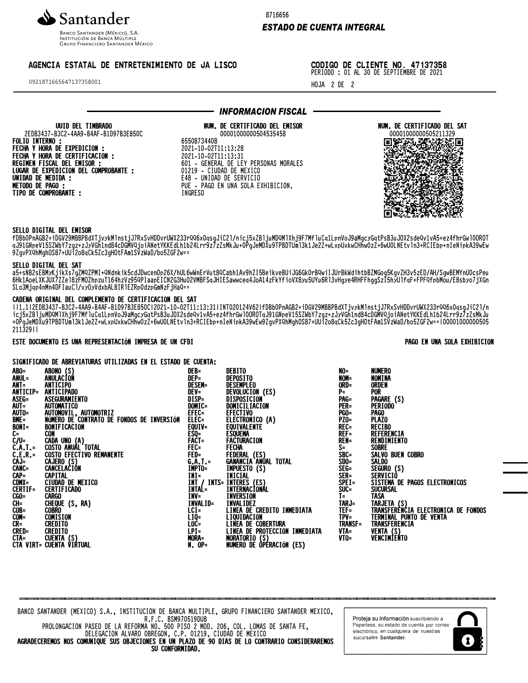

**BANCO SANTANDER (MÉXICO), S.A.** INSTITUCIÓN DE BANCA MÚLTIP **GRUPO FINANCIERO SANTANDER MÉXICO** 

# AGENCIA ESTATAL DE ENTRETENIMIENTO DE JA LISCO

0921871665647137358001

8716656

### *ESTADO DE CUENTA INTEGRAL*

CODIGO DE CLIENTE NO. 47137358 PERIODO : 01 AL 30 DE SEPTIEMBRE DE 2021

HOJA 2 DE 2

#### UUID DEL TIMBRADO 2EDB3437-B3C2-4AA9-B4AF-B1D97B3E850C FOLIO INTERNO : FECHA Y HORA DE EXPEDICION : FECHA Y HORA DE CERTIFICACION : REGIMEN FISCAL DEL EMISOR : LUGAR DE EXPEDICION DEL COMPROBANTE : UNIDAD DE MEDIDA : METODO DE PAGO : TIPO DE COMPROBANTE :

# *INFORMACION FISCAL*

NUM. DE CERTIFICADO DEL EMISOR 00001000000504535458 65508734408

2021-10-02T11:13:28 2021-10-02T11:13:31 601 - GENERAL DE LEY PERSONAS MORALES 01219 - CIUDAD DE MEXICO E48 - UNIDAD DE SERVICIO PUE - PAGO EN UNA SOLA EXHIBICION. INGRESO

NUM. DE CERTIFICADO DEL SAT 00001000000505211329 jcbZkrfIzCaTi00clGma2vALxIAvGbPjcbZ ZlXZEnhz5xhTeG1cNlutUVdGvSAi::XZlXZ zcbRxwPVWVQWPPwQuSxSZWUQuYXYwVQbzcR XPJM;WTJDJsCa38aCVlbtDELH4VVyET8KAP Tucgf4UsZX0zwvNrqb:mcahVi3HL6Wqb0nX XF6L8yX44HNNzHkxfs1h8xTkHEdoUM6I5;2 qnAf:8rVxoV0nGgS7;;eeIcrggmKHzLSMX8 9DbHxD9S;0gUf5dXBHMyb5pRa7CkbIcNc2P o8;RJMG2YG0F1hJoaN5RVXNcxY5H4frl1qP BFMpGB6km1oSlKF960v1LpSqIjgk0dkZeSR DMsSc6EIzgYMsJA5yOxCLpvQWOLTDAuO:X8 7:Z8uL1g8n2ZfQbWZ8nb40I4QLiIB8Z8kW0 kcefhXc1cNd0aQyTjkgOq1vAxc476BkaSBX peapXnV1c4m5ETX4oasuBKVeM44RTkIXidR OCYRY79zB7UjF1HcyvwiAdpLrnA;arJIFo: DX8MCG30EjRXNWvLkjIJjTvaoNjc6Uf68WP e;GVzYDztHzvs6pmkMLHfaLrnV48t6YIcM8 8GjLJXztqvPRHH85mYdwGE0j94UVtzWfHj2 vxNgJqqXXAKQ3iPE4iHhMj6lfQq3AdKplO0 JhvInhdwV53ENycWbGmOihVMTpFf:rlCASP SCSbHon40zxZgK:7jbkQ6d9xi6MXIVjbj;X Zs:Z;CaaXdn9oRSAvqnJm5Dfxz0WE8ysvVP ucSZdhpWD6S25YqPOHhj0vrDgdDJIdcB2Y0

# SELLO DIGITAL DEL EMISOR

fDBb0PnAGB2+iDGV29MBBPBdXTjvykMlnstjJ7RxSvHDDvrUWX233rQQ6x0qsgJiC2l/nicj5xZBljuMDQMlXhj9F7MfluCq1LpnVoJ9aMgcyGqtPsB3uJOX2sdeQv1vA5+ez4fhrGwl0OROT qJ91GNpeV15SZWbY7zgz+zJyVGh1nd84cDGMVQjoiANetYKKEdLh1b24Lrr9z7zZsMkJu+0PgJeMDXu9TPBDTUml3k1Je2Z+wLxpUxkwCHhw0zZ+6wU0LNEtvln3+RCIEbp+nIeNipkA39wEw 9ZgvPXQhMghOS87+UUi2o8qCk5Zc3gHOtFAm1SVzWaD/bo5ZGF2w==

#### SELLO DIGITAL DEL SAT

a5+sNB2sEBMyKjikXs7gZMQZPMI+QNdnkik5cdJDwcenOp26X/hUL6wWnErVut8QCabh1Av9hZI5BeikveBUiJG6Gk0rBQwiIJUrBkWdihtbBZMGog5KgvZH3v5zED/AH/SgwBEMYnU0csPeu 6Hk1AoeLXKJUX7ZZel8zFMOZhpzuT164hzVz95QPIaapEICN2G3HuO2VMBFSqJHIESawwceq4JoA14zFkYfioVX8yu5UYu6Rl3vHgye4RHFFhggSzI5hyUlfqF+FPFQfpbMou/E8sbyo7jXGn SLo3Mjqp4nMn4DFIauCl/vyOyVdxbAL8IRlEZRp0dzpGmNzFjHaQ==

#### CADENA ORIGINAL DEL COMPLEMENTO DE CERTIFICACION DEL SAT

||1.1|2EDB3437-B3C2-4AA9-B4AF-B1D97B3E850C|2021-10-02T11:13:31|INT020124V62|fDBb0PnAGB2+iDGV29MBBPBdXTjvykMlnstjJ7RxSvHDDvrUWX233rQQ6x0qsgJiC2l/n icj5xZBljuMDQMlXhj9F7MfluCq1LpnVoJ9aMgcyGqtPsB3uJOX2sdeQv1vA5+ez4fhrGwl0OROTqJ91GNpeV15SZWbY7zgz+zJyVGh1nd84cDGMVQjoiANetYKKEdLh1b24Lrr9z7zZsMkJu +0PgJeMDXu9TPBDTUml3k1Je2Z+wLxpUxkwCHhw0zZ+6wU0LNEtvln3+RCIEbp+nIeNipkA39wEw9ZgvPXQhMghOS87+UUi2o8qCk5Zc3gHOtFAm1SVzWaD/bo5ZGF2w==|00001000000505 211329||

#### ESTE DOCUMENTO ES UNA REPRESENTACIÓN IMPRESA DE UN CFDI PAGO EN UNA SOLA EXHIBICION

#### SIGNIFICADO DE ABREVIATURAS UTILIZADAS EN EL ESTADO DE CUENTA:

| ABO=<br>ANUL=<br>ANT=                                                                                   | ABONO (S)<br>ANULACION                                                                                                                                                                  | DEB=                                  | DEBITO                                                                     | NO=                       | <b>NUMERO</b>                                      |
|---------------------------------------------------------------------------------------------------------|-----------------------------------------------------------------------------------------------------------------------------------------------------------------------------------------|---------------------------------------|----------------------------------------------------------------------------|---------------------------|----------------------------------------------------|
|                                                                                                         |                                                                                                                                                                                         | DEP=                                  | DEPOSITO                                                                   | NOM=                      | NOMINA                                             |
|                                                                                                         | ANTICIPO                                                                                                                                                                                | <b>DESEM=</b>                         | DESEMPLEO                                                                  | ORD=                      | <b>ORDEN</b>                                       |
| ANTICIP=<br>ASEG=                                                                                       | ANTICIPADO                                                                                                                                                                              | DEV=                                  | DEVOLUCION (ES)                                                            | P=                        | <b>POR</b>                                         |
|                                                                                                         | ASEGURAMIENTO                                                                                                                                                                           | $\overline{DISP}$ =                   | <b>DISPOSICION</b>                                                         | PAG=                      | PAGARE (S)                                         |
|                                                                                                         | AUTOMATICO                                                                                                                                                                              | DOMIC=                                | DOMICILIACION                                                              | <b>PER=</b>               | <b>PERIODO</b>                                     |
|                                                                                                         |                                                                                                                                                                                         | EFEC=                                 | <b>EFECTIVO</b>                                                            | <b>PGO=</b>               | <b>PAGO</b>                                        |
|                                                                                                         | AUTOMOVIL, AUTOMOTRIZ<br>NÚMERO DE CONTRATO DE FONDOS DE INVERSIÓN                                                                                                                      | ELEC=                                 |                                                                            | $PZ0=$                    | <b>PLAZO</b>                                       |
| AUT=<br>AUTO=<br>BME=<br>BONI=<br>C-UAT.=<br>CAT.=<br>CAT.=<br>CAT.=<br>CARC=<br>CAP=<br>CDMX=<br>CDMX= | <b>BONIFICACION</b>                                                                                                                                                                     | EQUIV=                                | ELECTRONICO (A)<br>EQUIVALENTE                                             | REC=                      | <b>RECIBO</b>                                      |
|                                                                                                         | <b>CON</b>                                                                                                                                                                              |                                       | ESQUEMA                                                                    | <b>REF=</b>               | REFERENCIA                                         |
|                                                                                                         | ČÄDA UNO (A)<br>COSTO ANUAL TOTAL<br>COSTO EFECTIVO REMANENTE                                                                                                                           | ESQ=<br>FACT=<br>FEC=<br>FEC=<br>FED= | FACTURACION                                                                | <b>REN=</b>               | RENDIMIENTO                                        |
|                                                                                                         |                                                                                                                                                                                         |                                       | Fecha                                                                      | $S =$                     | <b>SOBRE</b>                                       |
|                                                                                                         |                                                                                                                                                                                         |                                       | FEDERAL (ES)<br>GANANCIA ANUAL TOTAL                                       | $\bar{\text{S}}\text{BC}$ | SALVO BUEN COBRO                                   |
|                                                                                                         | CAJERO (S)<br>CANCELACIÓN                                                                                                                                                               | G.A.T.=<br>IMPTO=                     |                                                                            | $SDO =$<br>SEG=           | <b>SALDO</b>                                       |
|                                                                                                         |                                                                                                                                                                                         |                                       | <b>IMPUESTO (S)</b>                                                        |                           | SEGURO (S)                                         |
|                                                                                                         | <b>CAPITAL</b>                                                                                                                                                                          | INI=                                  | INICIAL                                                                    | SER=<br>SPEI=             | SERVICIÒ                                           |
|                                                                                                         | CIUDAD DE MEXICO                                                                                                                                                                        |                                       | ÎNÎ / INTS= ÎNÎÊRÊS (ES)<br>Intal=   Internacional                         |                           | SISTEMA DE PAGOS ELECTRONICOS                      |
|                                                                                                         |                                                                                                                                                                                         |                                       |                                                                            | SUC=                      | <b>SUCURSAL</b>                                    |
|                                                                                                         |                                                                                                                                                                                         | <b>INV=</b>                           | <b>INVERSION</b>                                                           | $\bar{I}$ =               | TASA                                               |
|                                                                                                         |                                                                                                                                                                                         | INVALID=                              | INVALIDEZ<br>LINEA DE CREDITO INMEDIATA                                    | TARJ=                     | TARJETA (S)<br>TRANSFERENCIA ELECTRONICA DE FONDOS |
|                                                                                                         |                                                                                                                                                                                         | $\overline{LCI}$ =                    |                                                                            | TEF=                      |                                                    |
|                                                                                                         |                                                                                                                                                                                         |                                       | <b>LIQUIDACION<br/>LINEA DE COBERTURA</b>                                  | $TPV =$                   | TERMINAL PUNTO DE VENTA                            |
|                                                                                                         |                                                                                                                                                                                         | LOC=                                  |                                                                            | <b>TRANSF=</b>            | TRANSFERENCIA                                      |
|                                                                                                         |                                                                                                                                                                                         | $LPI =$                               |                                                                            | VTA=                      | VENTA (S)<br>VENCIMIENTO                           |
|                                                                                                         | <b>CONA:<br/>CERTIF= CERTIFICADO<br/>CGO= CARGO<br/>CH= CHEQUE (S, RA)<br/>COM= COMESION<br/>COM= COMESION<br/>CR= CREDITO<br/>CTA= CREDITO<br/>CTA= CUENTA (S)<br/>CTA= CUENTA (S)</b> | MORA=                                 | LINEA DE PROTECCIÓN INMEDIATA<br>MORATORIO (S)<br>NUMERO DE OPERACIÓN (ES) | $V$ TO=                   |                                                    |
|                                                                                                         |                                                                                                                                                                                         | $N. OP =$                             |                                                                            |                           |                                                    |

BANCO SANTANDER (MEXICO) S.A., INSTITUCION DE BANCA MULTIPLE, GRUPO FINANCIERO SANTANDER MEXICO, R.F.C. BSM970519DU8

PROLONGACION PASEO DE LA REFORMA NO. 500 PISO 2 MOD. 206, COL. LOMAS DE SANTA FE, DELEGACION ALVARO OBREGON, C.P. 01219, CIUDAD DE MEXICO AGRADECEREMOS NOS COMUNIQUE SUS OBJECIONES EN UN PLAZO DE 90 DIAS DE LO CONTRARIO CONSIDERAREMOS SU CONFORMIDAD.

Proteja su información suscribiéndo a Paperless, su estado de cuenta por correo electrónico, en cualquiera de nuestras sucursales Santander.